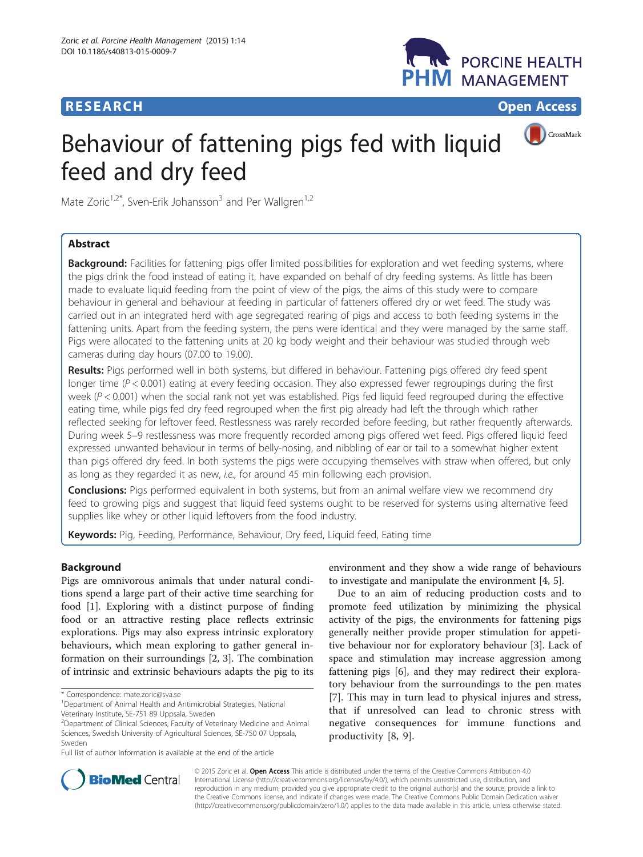## **RESEARCH CHINESE ARCH CHINESE ARCH CHINESE ARCH <b>CHINESE ARCH CHINESE ARCH CHINESE ARCH <b>CHINESE** ARCH **CHINESE ARCH** CHINESE ARCH **CHINESE ARCH 2014**



CrossMark

# Behaviour of fattening pigs fed with liquid feed and dry feed

Mate Zoric $1.2^*$ , Sven-Erik Johansson<sup>3</sup> and Per Wallgren<sup>1,2</sup>

## Abstract

Background: Facilities for fattening pigs offer limited possibilities for exploration and wet feeding systems, where the pigs drink the food instead of eating it, have expanded on behalf of dry feeding systems. As little has been made to evaluate liquid feeding from the point of view of the pigs, the aims of this study were to compare behaviour in general and behaviour at feeding in particular of fatteners offered dry or wet feed. The study was carried out in an integrated herd with age segregated rearing of pigs and access to both feeding systems in the fattening units. Apart from the feeding system, the pens were identical and they were managed by the same staff. Pigs were allocated to the fattening units at 20 kg body weight and their behaviour was studied through web cameras during day hours (07.00 to 19.00).

Results: Pigs performed well in both systems, but differed in behaviour. Fattening pigs offered dry feed spent longer time ( $P < 0.001$ ) eating at every feeding occasion. They also expressed fewer regroupings during the first week ( $P < 0.001$ ) when the social rank not yet was established. Pigs fed liquid feed regrouped during the effective eating time, while pigs fed dry feed regrouped when the first pig already had left the through which rather reflected seeking for leftover feed. Restlessness was rarely recorded before feeding, but rather frequently afterwards. During week 5–9 restlessness was more frequently recorded among pigs offered wet feed. Pigs offered liquid feed expressed unwanted behaviour in terms of belly-nosing, and nibbling of ear or tail to a somewhat higher extent than pigs offered dry feed. In both systems the pigs were occupying themselves with straw when offered, but only as long as they regarded it as new, *i.e.*, for around 45 min following each provision.

**Conclusions:** Pigs performed equivalent in both systems, but from an animal welfare view we recommend dry feed to growing pigs and suggest that liquid feed systems ought to be reserved for systems using alternative feed supplies like whey or other liquid leftovers from the food industry.

Keywords: Pig, Feeding, Performance, Behaviour, Dry feed, Liquid feed, Eating time

### Background

Pigs are omnivorous animals that under natural conditions spend a large part of their active time searching for food [\[1](#page-7-0)]. Exploring with a distinct purpose of finding food or an attractive resting place reflects extrinsic explorations. Pigs may also express intrinsic exploratory behaviours, which mean exploring to gather general information on their surroundings [\[2](#page-7-0), [3](#page-7-0)]. The combination of intrinsic and extrinsic behaviours adapts the pig to its

environment and they show a wide range of behaviours to investigate and manipulate the environment [[4, 5\]](#page-7-0).

Due to an aim of reducing production costs and to promote feed utilization by minimizing the physical activity of the pigs, the environments for fattening pigs generally neither provide proper stimulation for appetitive behaviour nor for exploratory behaviour [[3](#page-7-0)]. Lack of space and stimulation may increase aggression among fattening pigs [[6\]](#page-7-0), and they may redirect their exploratory behaviour from the surroundings to the pen mates [[7\]](#page-7-0). This may in turn lead to physical injures and stress, that if unresolved can lead to chronic stress with negative consequences for immune functions and productivity [\[8](#page-7-0), [9](#page-7-0)].



© 2015 Zoric et al. Open Access This article is distributed under the terms of the Creative Commons Attribution 4.0 International License [\(http://creativecommons.org/licenses/by/4.0/](http://creativecommons.org/licenses/by/4.0/)), which permits unrestricted use, distribution, and reproduction in any medium, provided you give appropriate credit to the original author(s) and the source, provide a link to the Creative Commons license, and indicate if changes were made. The Creative Commons Public Domain Dedication waiver [\(http://creativecommons.org/publicdomain/zero/1.0/](http://creativecommons.org/publicdomain/zero/1.0/)) applies to the data made available in this article, unless otherwise stated.

<sup>\*</sup> Correspondence: [mate.zoric@sva.se](mailto:mate.zoric@sva.se) <sup>1</sup>

Department of Animal Health and Antimicrobial Strategies, National Veterinary Institute, SE-751 89 Uppsala, Sweden

<sup>&</sup>lt;sup>2</sup>Department of Clinical Sciences, Faculty of Veterinary Medicine and Animal Sciences, Swedish University of Agricultural Sciences, SE-750 07 Uppsala, Sweden

Full list of author information is available at the end of the article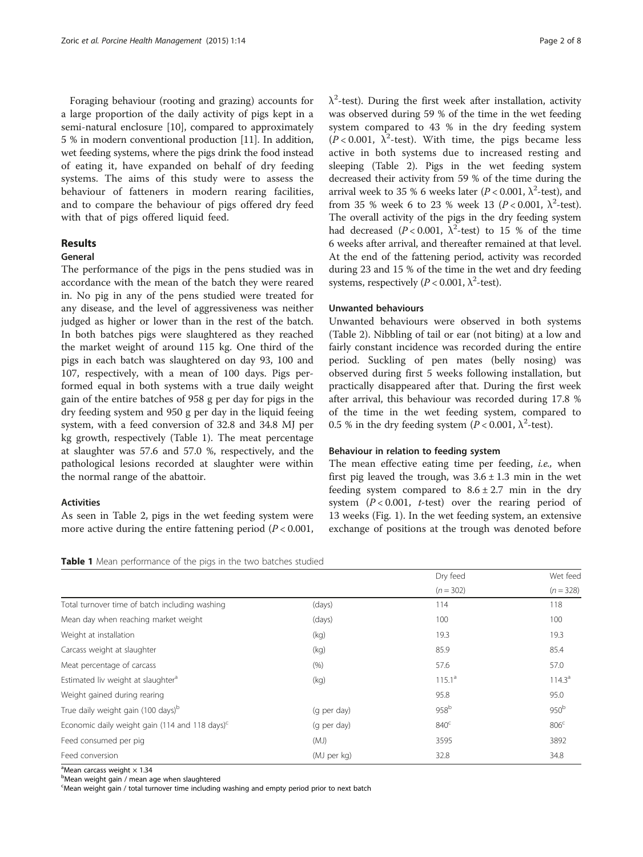Foraging behaviour (rooting and grazing) accounts for a large proportion of the daily activity of pigs kept in a semi-natural enclosure [[10](#page-7-0)], compared to approximately 5 % in modern conventional production [[11](#page-7-0)]. In addition, wet feeding systems, where the pigs drink the food instead of eating it, have expanded on behalf of dry feeding systems. The aims of this study were to assess the behaviour of fatteners in modern rearing facilities, and to compare the behaviour of pigs offered dry feed with that of pigs offered liquid feed.

## Results

#### General

The performance of the pigs in the pens studied was in accordance with the mean of the batch they were reared in. No pig in any of the pens studied were treated for any disease, and the level of aggressiveness was neither judged as higher or lower than in the rest of the batch. In both batches pigs were slaughtered as they reached the market weight of around 115 kg. One third of the pigs in each batch was slaughtered on day 93, 100 and 107, respectively, with a mean of 100 days. Pigs performed equal in both systems with a true daily weight gain of the entire batches of 958 g per day for pigs in the dry feeding system and 950 g per day in the liquid feeing system, with a feed conversion of 32.8 and 34.8 MJ per kg growth, respectively (Table 1). The meat percentage at slaughter was 57.6 and 57.0 %, respectively, and the pathological lesions recorded at slaughter were within the normal range of the abattoir.

#### Activities

As seen in Table [2,](#page-2-0) pigs in the wet feeding system were more active during the entire fattening period  $(P < 0.001$ ,

Table 1 Mean performance of the pigs in the two batches studied

 $\lambda^2$ -test). During the first week after installation, activity was observed during 59 % of the time in the wet feeding system compared to 43 % in the dry feeding system ( $P < 0.001$ ,  $\lambda^2$ -test). With time, the pigs became less active in both systems due to increased resting and sleeping (Table [2\)](#page-2-0). Pigs in the wet feeding system decreased their activity from 59 % of the time during the arrival week to 35 % 6 weeks later ( $P < 0.001$ ,  $\lambda^2$ -test), and from 35 % week 6 to 23 % week 13 ( $P < 0.001$ ,  $\lambda^2$ -test). The overall activity of the pigs in the dry feeding system had decreased ( $P < 0.001$ ,  $\lambda^2$ -test) to 15 % of the time 6 weeks after arrival, and thereafter remained at that level. At the end of the fattening period, activity was recorded during 23 and 15 % of the time in the wet and dry feeding systems, respectively ( $P < 0.001$ ,  $\lambda^2$ -test).

#### Unwanted behaviours

Unwanted behaviours were observed in both systems (Table [2\)](#page-2-0). Nibbling of tail or ear (not biting) at a low and fairly constant incidence was recorded during the entire period. Suckling of pen mates (belly nosing) was observed during first 5 weeks following installation, but practically disappeared after that. During the first week after arrival, this behaviour was recorded during 17.8 % of the time in the wet feeding system, compared to 0.5 % in the dry feeding system ( $P < 0.001$ ,  $\lambda^2$ -test).

#### Behaviour in relation to feeding system

The mean effective eating time per feeding, *i.e.*, when first pig leaved the trough, was  $3.6 \pm 1.3$  min in the wet feeding system compared to  $8.6 \pm 2.7$  min in the dry system  $(P < 0.001$ , *t*-test) over the rearing period of 13 weeks (Fig. [1](#page-2-0)). In the wet feeding system, an extensive exchange of positions at the trough was denoted before

Dry feed Wet feed  $(n = 302)$   $(n = 328)$ Total turnover time of batch including washing (days) (days) 114 118 118 Mean day when reaching market weight (days) (days) 100 100 100 100 Weight at installation (kg) 19.3 19.3 Carcass weight at slaughter **at a struck and struck and struck and struck and struck and struck and struck and struck and struck and struck and struck and struck and struck and struck and struck and struck and struck and s** Meat percentage of carcass (%) 57.6 57.0 Estimated liv weight at slaughter<sup>a</sup> and the state of the state (kg) 115.1<sup>a</sup> 114.3<sup>a</sup> 114.3<sup>a</sup> Weight gained during rearing extraordinary control of the state of the state of the 95.0 95.0 95.0 95.0 95.0 True daily weight gain (100 days)<sup>b</sup> (g per day) 950<sup>b</sup> 950<sup>b</sup> 950<sup>b</sup> 950<sup>b</sup> 950<sup>b</sup> Economic daily weight gain (114 and 118 days)<sup>c</sup> (g per day) 840<sup>c</sup> 806<sup>c</sup> 806<sup>c</sup> Feed consumed per pig and the set of the set of the set of the set of the set of the set of the set of the set of the set of the set of the set of the set of the set of the set of the set of the set of the set of the set o Feed conversion (MJ per kg) 32.8 34.8

<sup>a</sup>Mean carcass weight × 1.34

b<br>Mean weight gain / mean age when slaughtered

Mean weight gain / total turnover time including washing and empty period prior to next batch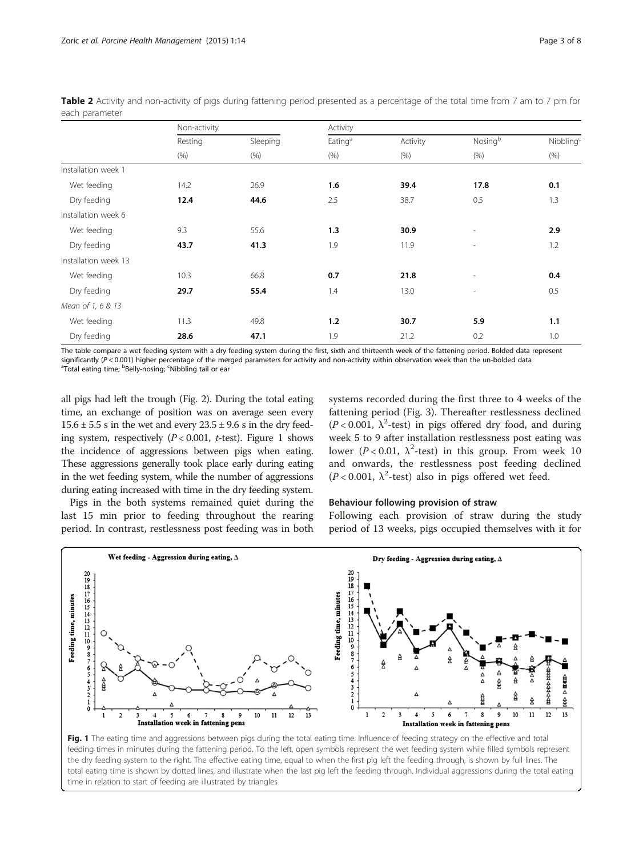|                      | Non-activity    |                  | Activity                    |                  |                          |                               |
|----------------------|-----------------|------------------|-----------------------------|------------------|--------------------------|-------------------------------|
|                      | Resting<br>(% ) | Sleeping<br>(% ) | Eating <sup>a</sup><br>(% ) | Activity<br>(% ) | Nosingb<br>(% )          | Nibbling <sup>c</sup><br>(% ) |
|                      |                 |                  |                             |                  |                          |                               |
| Installation week 1  |                 |                  |                             |                  |                          |                               |
| Wet feeding          | 14.2            | 26.9             | 1.6                         | 39.4             | 17.8                     | 0.1                           |
| Dry feeding          | 12.4            | 44.6             | 2.5                         | 38.7             | 0.5                      | 1.3                           |
| Installation week 6  |                 |                  |                             |                  |                          |                               |
| Wet feeding          | 9.3             | 55.6             | 1.3                         | 30.9             | $\overline{\phantom{a}}$ | 2.9                           |
| Dry feeding          | 43.7            | 41.3             | 1.9                         | 11.9             | $\overline{\phantom{a}}$ | 1.2                           |
| Installation week 13 |                 |                  |                             |                  |                          |                               |
| Wet feeding          | 10.3            | 66.8             | 0.7                         | 21.8             | $\sim$                   | 0.4                           |
| Dry feeding          | 29.7            | 55.4             | 1.4                         | 13.0             | $\overline{\phantom{a}}$ | 0.5                           |
| Mean of 1, 6 & 13    |                 |                  |                             |                  |                          |                               |
| Wet feeding          | 11.3            | 49.8             | 1.2                         | 30.7             | 5.9                      | 1.1                           |
| Dry feeding          | 28.6            | 47.1             | 1.9                         | 21.2             | 0.2                      | 1.0                           |

<span id="page-2-0"></span>Table 2 Activity and non-activity of pigs during fattening period presented as a percentage of the total time from 7 am to 7 pm for each parameter

The table compare a wet feeding system with a dry feeding system during the first, sixth and thirteenth week of the fattening period. Bolded data represent significantly  $(P < 0.001)$  higher percentage of the merged parameters for activity and non-activity within observation week than the un-bolded data Total eating time; <sup>b</sup>Belly-nosing; <sup>c</sup>Nibbling tail or ear

all pigs had left the trough (Fig. [2](#page-3-0)). During the total eating time, an exchange of position was on average seen every  $15.6 \pm 5.5$  s in the wet and every  $23.5 \pm 9.6$  s in the dry feeding system, respectively  $(P < 0.001, t-test)$ . Figure 1 shows the incidence of aggressions between pigs when eating. These aggressions generally took place early during eating in the wet feeding system, while the number of aggressions during eating increased with time in the dry feeding system.

Pigs in the both systems remained quiet during the last 15 min prior to feeding throughout the rearing period. In contrast, restlessness post feeding was in both

systems recorded during the first three to 4 weeks of the fattening period (Fig. [3](#page-3-0)). Thereafter restlessness declined ( $P < 0.001$ ,  $\lambda^2$ -test) in pigs offered dry food, and during week 5 to 9 after installation restlessness post eating was lower ( $P < 0.01$ ,  $\lambda^2$ -test) in this group. From week 10 and onwards, the restlessness post feeding declined ( $P < 0.001$ ,  $\lambda^2$ -test) also in pigs offered wet feed.

#### Behaviour following provision of straw

Following each provision of straw during the study period of 13 weeks, pigs occupied themselves with it for



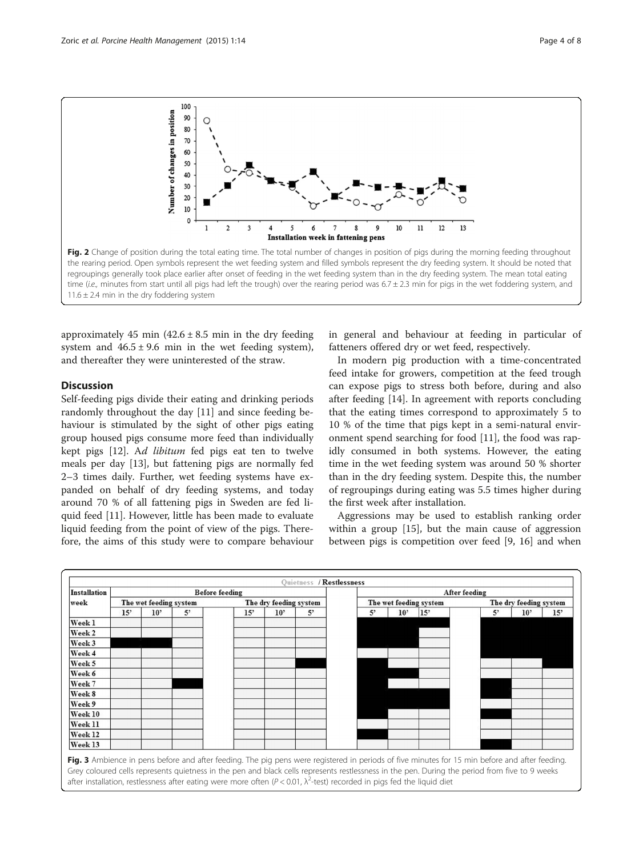<span id="page-3-0"></span>

approximately 45 min (42.6  $\pm$  8.5 min in the dry feeding system and  $46.5 \pm 9.6$  min in the wet feeding system), and thereafter they were uninterested of the straw.

#### **Discussion**

Self-feeding pigs divide their eating and drinking periods randomly throughout the day [[11](#page-7-0)] and since feeding behaviour is stimulated by the sight of other pigs eating group housed pigs consume more feed than individually kept pigs [\[12\]](#page-7-0). Ad libitum fed pigs eat ten to twelve meals per day [\[13\]](#page-7-0), but fattening pigs are normally fed 2–3 times daily. Further, wet feeding systems have expanded on behalf of dry feeding systems, and today around 70 % of all fattening pigs in Sweden are fed liquid feed [\[11\]](#page-7-0). However, little has been made to evaluate liquid feeding from the point of view of the pigs. Therefore, the aims of this study were to compare behaviour in general and behaviour at feeding in particular of fatteners offered dry or wet feed, respectively.

In modern pig production with a time-concentrated feed intake for growers, competition at the feed trough can expose pigs to stress both before, during and also after feeding [[14\]](#page-7-0). In agreement with reports concluding that the eating times correspond to approximately 5 to 10 % of the time that pigs kept in a semi-natural environment spend searching for food [[11\]](#page-7-0), the food was rapidly consumed in both systems. However, the eating time in the wet feeding system was around 50 % shorter than in the dry feeding system. Despite this, the number of regroupings during eating was 5.5 times higher during the first week after installation.

Aggressions may be used to establish ranking order within a group [[15\]](#page-7-0), but the main cause of aggression between pigs is competition over feed [\[9](#page-7-0), [16\]](#page-7-0) and when

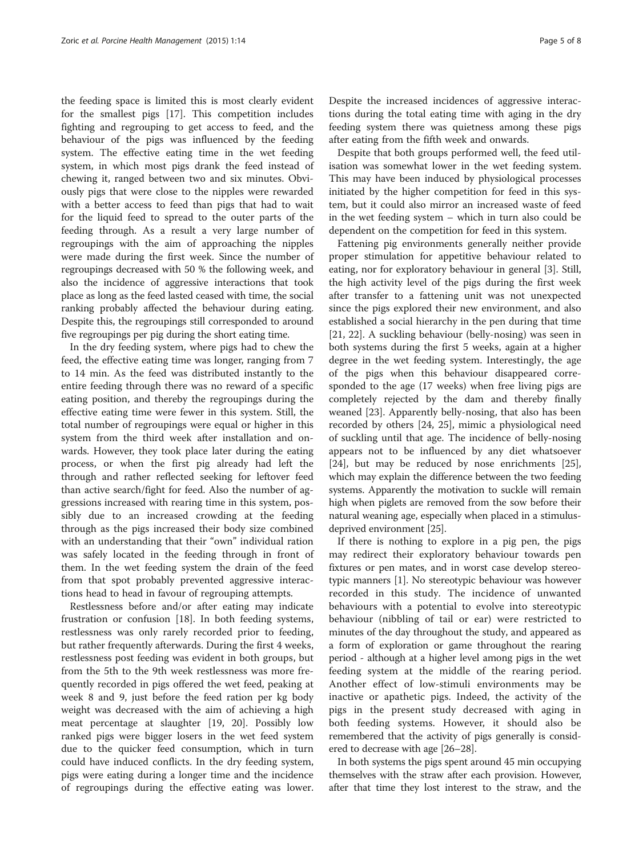the feeding space is limited this is most clearly evident for the smallest pigs [[17\]](#page-7-0). This competition includes fighting and regrouping to get access to feed, and the behaviour of the pigs was influenced by the feeding system. The effective eating time in the wet feeding system, in which most pigs drank the feed instead of chewing it, ranged between two and six minutes. Obviously pigs that were close to the nipples were rewarded with a better access to feed than pigs that had to wait for the liquid feed to spread to the outer parts of the feeding through. As a result a very large number of regroupings with the aim of approaching the nipples were made during the first week. Since the number of regroupings decreased with 50 % the following week, and also the incidence of aggressive interactions that took place as long as the feed lasted ceased with time, the social ranking probably affected the behaviour during eating. Despite this, the regroupings still corresponded to around five regroupings per pig during the short eating time.

In the dry feeding system, where pigs had to chew the feed, the effective eating time was longer, ranging from 7 to 14 min. As the feed was distributed instantly to the entire feeding through there was no reward of a specific eating position, and thereby the regroupings during the effective eating time were fewer in this system. Still, the total number of regroupings were equal or higher in this system from the third week after installation and onwards. However, they took place later during the eating process, or when the first pig already had left the through and rather reflected seeking for leftover feed than active search/fight for feed. Also the number of aggressions increased with rearing time in this system, possibly due to an increased crowding at the feeding through as the pigs increased their body size combined with an understanding that their "own" individual ration was safely located in the feeding through in front of them. In the wet feeding system the drain of the feed from that spot probably prevented aggressive interactions head to head in favour of regrouping attempts.

Restlessness before and/or after eating may indicate frustration or confusion [[18\]](#page-7-0). In both feeding systems, restlessness was only rarely recorded prior to feeding, but rather frequently afterwards. During the first 4 weeks, restlessness post feeding was evident in both groups, but from the 5th to the 9th week restlessness was more frequently recorded in pigs offered the wet feed, peaking at week 8 and 9, just before the feed ration per kg body weight was decreased with the aim of achieving a high meat percentage at slaughter [[19, 20\]](#page-7-0). Possibly low ranked pigs were bigger losers in the wet feed system due to the quicker feed consumption, which in turn could have induced conflicts. In the dry feeding system, pigs were eating during a longer time and the incidence of regroupings during the effective eating was lower.

Despite the increased incidences of aggressive interactions during the total eating time with aging in the dry feeding system there was quietness among these pigs after eating from the fifth week and onwards.

Despite that both groups performed well, the feed utilisation was somewhat lower in the wet feeding system. This may have been induced by physiological processes initiated by the higher competition for feed in this system, but it could also mirror an increased waste of feed in the wet feeding system – which in turn also could be dependent on the competition for feed in this system.

Fattening pig environments generally neither provide proper stimulation for appetitive behaviour related to eating, nor for exploratory behaviour in general [\[3](#page-7-0)]. Still, the high activity level of the pigs during the first week after transfer to a fattening unit was not unexpected since the pigs explored their new environment, and also established a social hierarchy in the pen during that time [[21, 22\]](#page-7-0). A suckling behaviour (belly-nosing) was seen in both systems during the first 5 weeks, again at a higher degree in the wet feeding system. Interestingly, the age of the pigs when this behaviour disappeared corresponded to the age (17 weeks) when free living pigs are completely rejected by the dam and thereby finally weaned [[23\]](#page-7-0). Apparently belly-nosing, that also has been recorded by others [\[24](#page-7-0), [25\]](#page-7-0), mimic a physiological need of suckling until that age. The incidence of belly-nosing appears not to be influenced by any diet whatsoever [[24\]](#page-7-0), but may be reduced by nose enrichments [\[25](#page-7-0)], which may explain the difference between the two feeding systems. Apparently the motivation to suckle will remain high when piglets are removed from the sow before their natural weaning age, especially when placed in a stimulusdeprived environment [[25](#page-7-0)].

If there is nothing to explore in a pig pen, the pigs may redirect their exploratory behaviour towards pen fixtures or pen mates, and in worst case develop stereotypic manners [\[1](#page-7-0)]. No stereotypic behaviour was however recorded in this study. The incidence of unwanted behaviours with a potential to evolve into stereotypic behaviour (nibbling of tail or ear) were restricted to minutes of the day throughout the study, and appeared as a form of exploration or game throughout the rearing period - although at a higher level among pigs in the wet feeding system at the middle of the rearing period. Another effect of low-stimuli environments may be inactive or apathetic pigs. Indeed, the activity of the pigs in the present study decreased with aging in both feeding systems. However, it should also be remembered that the activity of pigs generally is considered to decrease with age [\[26](#page-7-0)–[28](#page-7-0)].

In both systems the pigs spent around 45 min occupying themselves with the straw after each provision. However, after that time they lost interest to the straw, and the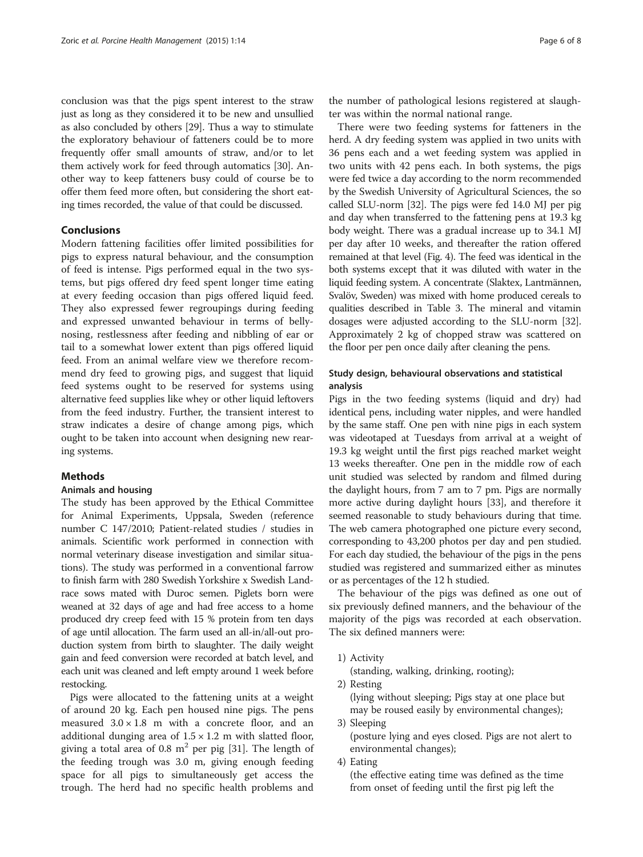conclusion was that the pigs spent interest to the straw just as long as they considered it to be new and unsullied as also concluded by others [[29](#page-7-0)]. Thus a way to stimulate the exploratory behaviour of fatteners could be to more frequently offer small amounts of straw, and/or to let them actively work for feed through automatics [[30](#page-7-0)]. Another way to keep fatteners busy could of course be to offer them feed more often, but considering the short eating times recorded, the value of that could be discussed.

#### Conclusions

Modern fattening facilities offer limited possibilities for pigs to express natural behaviour, and the consumption of feed is intense. Pigs performed equal in the two systems, but pigs offered dry feed spent longer time eating at every feeding occasion than pigs offered liquid feed. They also expressed fewer regroupings during feeding and expressed unwanted behaviour in terms of bellynosing, restlessness after feeding and nibbling of ear or tail to a somewhat lower extent than pigs offered liquid feed. From an animal welfare view we therefore recommend dry feed to growing pigs, and suggest that liquid feed systems ought to be reserved for systems using alternative feed supplies like whey or other liquid leftovers from the feed industry. Further, the transient interest to straw indicates a desire of change among pigs, which ought to be taken into account when designing new rearing systems.

#### Methods

## Animals and housing

The study has been approved by the Ethical Committee for Animal Experiments, Uppsala, Sweden (reference number C 147/2010; Patient-related studies / studies in animals. Scientific work performed in connection with normal veterinary disease investigation and similar situations). The study was performed in a conventional farrow to finish farm with 280 Swedish Yorkshire x Swedish Landrace sows mated with Duroc semen. Piglets born were weaned at 32 days of age and had free access to a home produced dry creep feed with 15 % protein from ten days of age until allocation. The farm used an all-in/all-out production system from birth to slaughter. The daily weight gain and feed conversion were recorded at batch level, and each unit was cleaned and left empty around 1 week before restocking.

Pigs were allocated to the fattening units at a weight of around 20 kg. Each pen housed nine pigs. The pens measured  $3.0 \times 1.8$  m with a concrete floor, and an additional dunging area of  $1.5 \times 1.2$  m with slatted floor, giving a total area of 0.8  $m<sup>2</sup>$  per pig [[31\]](#page-7-0). The length of the feeding trough was 3.0 m, giving enough feeding space for all pigs to simultaneously get access the trough. The herd had no specific health problems and

the number of pathological lesions registered at slaughter was within the normal national range.

There were two feeding systems for fatteners in the herd. A dry feeding system was applied in two units with 36 pens each and a wet feeding system was applied in two units with 42 pens each. In both systems, the pigs were fed twice a day according to the norm recommended by the Swedish University of Agricultural Sciences, the so called SLU-norm [\[32\]](#page-7-0). The pigs were fed 14.0 MJ per pig and day when transferred to the fattening pens at 19.3 kg body weight. There was a gradual increase up to 34.1 MJ per day after 10 weeks, and thereafter the ration offered remained at that level (Fig. [4](#page-6-0)). The feed was identical in the both systems except that it was diluted with water in the liquid feeding system. A concentrate (Slaktex, Lantmännen, Svalöv, Sweden) was mixed with home produced cereals to qualities described in Table [3.](#page-6-0) The mineral and vitamin dosages were adjusted according to the SLU-norm [[32](#page-7-0)]. Approximately 2 kg of chopped straw was scattered on the floor per pen once daily after cleaning the pens.

#### Study design, behavioural observations and statistical analysis

Pigs in the two feeding systems (liquid and dry) had identical pens, including water nipples, and were handled by the same staff. One pen with nine pigs in each system was videotaped at Tuesdays from arrival at a weight of 19.3 kg weight until the first pigs reached market weight 13 weeks thereafter. One pen in the middle row of each unit studied was selected by random and filmed during the daylight hours, from 7 am to 7 pm. Pigs are normally more active during daylight hours [\[33\]](#page-7-0), and therefore it seemed reasonable to study behaviours during that time. The web camera photographed one picture every second, corresponding to 43,200 photos per day and pen studied. For each day studied, the behaviour of the pigs in the pens studied was registered and summarized either as minutes or as percentages of the 12 h studied.

The behaviour of the pigs was defined as one out of six previously defined manners, and the behaviour of the majority of the pigs was recorded at each observation. The six defined manners were:

1) Activity

(standing, walking, drinking, rooting);

2) Resting

(lying without sleeping; Pigs stay at one place but may be roused easily by environmental changes);

3) Sleeping

(posture lying and eyes closed. Pigs are not alert to environmental changes);

4) Eating

(the effective eating time was defined as the time from onset of feeding until the first pig left the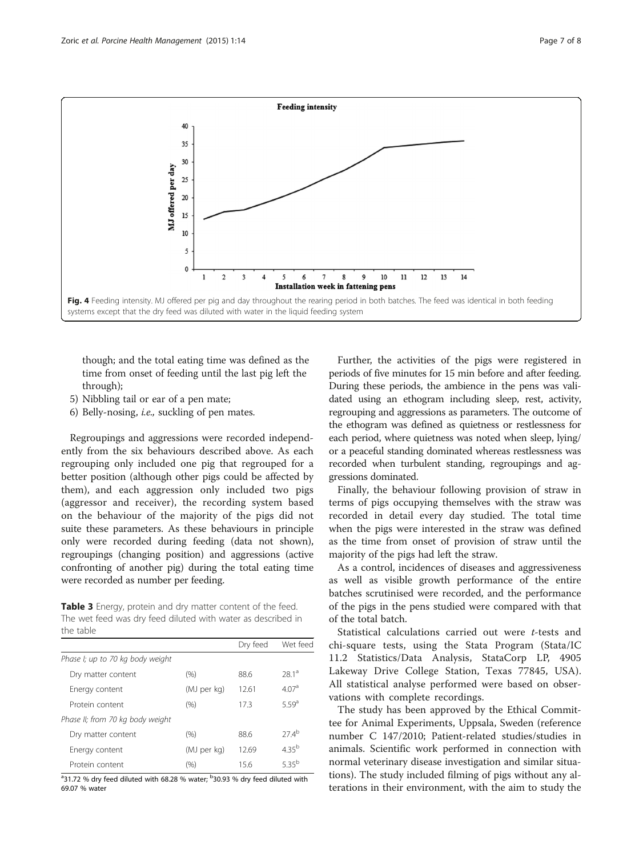<span id="page-6-0"></span>

though; and the total eating time was defined as the time from onset of feeding until the last pig left the through);

- 5) Nibbling tail or ear of a pen mate;
- 6) Belly-nosing, i.e., suckling of pen mates.

Regroupings and aggressions were recorded independently from the six behaviours described above. As each regrouping only included one pig that regrouped for a better position (although other pigs could be affected by them), and each aggression only included two pigs (aggressor and receiver), the recording system based on the behaviour of the majority of the pigs did not suite these parameters. As these behaviours in principle only were recorded during feeding (data not shown), regroupings (changing position) and aggressions (active confronting of another pig) during the total eating time were recorded as number per feeding.

Table 3 Energy, protein and dry matter content of the feed. The wet feed was dry feed diluted with water as described in the table

|                                  |             | Dry feed | Wet feed          |
|----------------------------------|-------------|----------|-------------------|
| Phase I; up to 70 kg body weight |             |          |                   |
| Dry matter content               | $(\% )$     | 88.6     | $28.1^a$          |
| Energy content                   | (MJ per kg) | 12.61    | 4.07 <sup>a</sup> |
| Protein content                  | (% )        | 17.3     | 5.59 <sup>a</sup> |
| Phase II; from 70 kg body weight |             |          |                   |
| Dry matter content               | (96)        | 88.6     | $274^{b}$         |
| Energy content                   | (MJ per kg) | 12.69    | $4.35^{b}$        |
| Protein content                  | $(\% )$     | 156      | $535^b$           |

 $^{\rm a}$ 31.72 % dry feed diluted with 68.28 % water;  $^{\rm b}$ 30.93 % dry feed diluted with 69.07 % water

Further, the activities of the pigs were registered in periods of five minutes for 15 min before and after feeding. During these periods, the ambience in the pens was validated using an ethogram including sleep, rest, activity, regrouping and aggressions as parameters. The outcome of the ethogram was defined as quietness or restlessness for each period, where quietness was noted when sleep, lying/ or a peaceful standing dominated whereas restlessness was recorded when turbulent standing, regroupings and aggressions dominated.

Finally, the behaviour following provision of straw in terms of pigs occupying themselves with the straw was recorded in detail every day studied. The total time when the pigs were interested in the straw was defined as the time from onset of provision of straw until the majority of the pigs had left the straw.

As a control, incidences of diseases and aggressiveness as well as visible growth performance of the entire batches scrutinised were recorded, and the performance of the pigs in the pens studied were compared with that of the total batch.

Statistical calculations carried out were t-tests and chi-square tests, using the Stata Program (Stata/IC 11.2 Statistics/Data Analysis, StataCorp LP, 4905 Lakeway Drive College Station, Texas 77845, USA). All statistical analyse performed were based on observations with complete recordings.

The study has been approved by the Ethical Committee for Animal Experiments, Uppsala, Sweden (reference number C 147/2010; Patient-related studies/studies in animals. Scientific work performed in connection with normal veterinary disease investigation and similar situations). The study included filming of pigs without any alterations in their environment, with the aim to study the